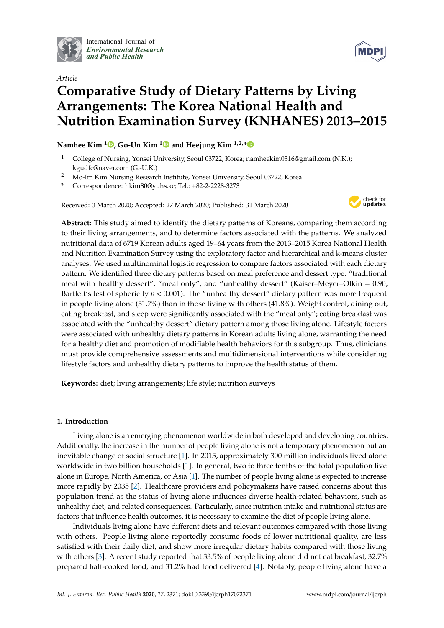

International Journal of *[Environmental Research](http://www.mdpi.com/journal/ijerph) and Public Health*



# *Article* **Comparative Study of Dietary Patterns by Living Arrangements: The Korea National Health and Nutrition Examination Survey (KNHANES) 2013–2015**

# **Namhee Kim <sup>1</sup> [,](https://orcid.org/0000-0002-2862-2691) Go-Un Kim [1](https://orcid.org/0000-0001-7191-5134) and Heejung Kim 1,2,[\\*](https://orcid.org/0000-0003-3719-0111)**

- <sup>1</sup> College of Nursing, Yonsei University, Seoul 03722, Korea; namheekim0316@gmail.com (N.K.); kgudfc@naver.com (G.-U.K.)
- <sup>2</sup> Mo-Im Kim Nursing Research Institute, Yonsei University, Seoul 03722, Korea
- **\*** Correspondence: hkim80@yuhs.ac; Tel.: +82-2-2228-3273

Received: 3 March 2020; Accepted: 27 March 2020; Published: 31 March 2020



**Abstract:** This study aimed to identify the dietary patterns of Koreans, comparing them according to their living arrangements, and to determine factors associated with the patterns. We analyzed nutritional data of 6719 Korean adults aged 19–64 years from the 2013–2015 Korea National Health and Nutrition Examination Survey using the exploratory factor and hierarchical and k-means cluster analyses. We used multinominal logistic regression to compare factors associated with each dietary pattern. We identified three dietary patterns based on meal preference and dessert type: "traditional meal with healthy dessert", "meal only", and "unhealthy dessert" (Kaiser–Meyer–Olkin = 0.90, Bartlett's test of sphericity *p* < 0.001). The "unhealthy dessert" dietary pattern was more frequent in people living alone (51.7%) than in those living with others (41.8%). Weight control, dining out, eating breakfast, and sleep were significantly associated with the "meal only"; eating breakfast was associated with the "unhealthy dessert" dietary pattern among those living alone. Lifestyle factors were associated with unhealthy dietary patterns in Korean adults living alone, warranting the need for a healthy diet and promotion of modifiable health behaviors for this subgroup. Thus, clinicians must provide comprehensive assessments and multidimensional interventions while considering lifestyle factors and unhealthy dietary patterns to improve the health status of them.

**Keywords:** diet; living arrangements; life style; nutrition surveys

# **1. Introduction**

Living alone is an emerging phenomenon worldwide in both developed and developing countries. Additionally, the increase in the number of people living alone is not a temporary phenomenon but an inevitable change of social structure [\[1\]](#page-13-0). In 2015, approximately 300 million individuals lived alone worldwide in two billion households [\[1\]](#page-13-0). In general, two to three tenths of the total population live alone in Europe, North America, or Asia [\[1\]](#page-13-0). The number of people living alone is expected to increase more rapidly by 2035 [\[2\]](#page-13-1). Healthcare providers and policymakers have raised concerns about this population trend as the status of living alone influences diverse health-related behaviors, such as unhealthy diet, and related consequences. Particularly, since nutrition intake and nutritional status are factors that influence health outcomes, it is necessary to examine the diet of people living alone.

Individuals living alone have different diets and relevant outcomes compared with those living with others. People living alone reportedly consume foods of lower nutritional quality, are less satisfied with their daily diet, and show more irregular dietary habits compared with those living with others [\[3\]](#page-13-2). A recent study reported that 33.5% of people living alone did not eat breakfast, 32.7% prepared half-cooked food, and 31.2% had food delivered [\[4\]](#page-13-3). Notably, people living alone have a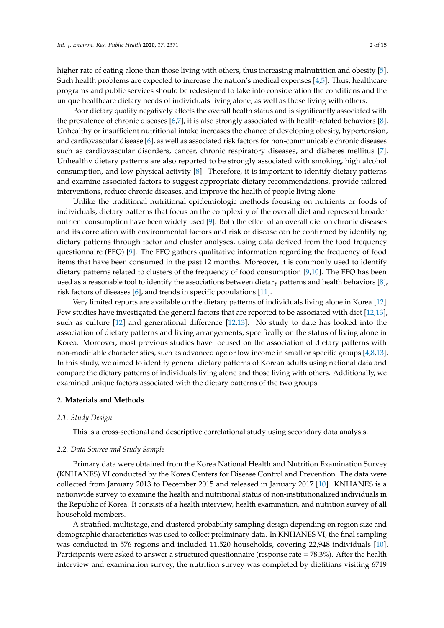higher rate of eating alone than those living with others, thus increasing malnutrition and obesity [\[5\]](#page-13-4). Such health problems are expected to increase the nation's medical expenses [\[4,](#page-13-3)[5\]](#page-13-4). Thus, healthcare programs and public services should be redesigned to take into consideration the conditions and the unique healthcare dietary needs of individuals living alone, as well as those living with others.

Poor dietary quality negatively affects the overall health status and is significantly associated with the prevalence of chronic diseases [\[6](#page-13-5)[,7\]](#page-13-6), it is also strongly associated with health-related behaviors [\[8\]](#page-13-7). Unhealthy or insufficient nutritional intake increases the chance of developing obesity, hypertension, and cardiovascular disease [\[6\]](#page-13-5), as well as associated risk factors for non-communicable chronic diseases such as cardiovascular disorders, cancer, chronic respiratory diseases, and diabetes mellitus [\[7\]](#page-13-6). Unhealthy dietary patterns are also reported to be strongly associated with smoking, high alcohol consumption, and low physical activity [\[8\]](#page-13-7). Therefore, it is important to identify dietary patterns and examine associated factors to suggest appropriate dietary recommendations, provide tailored interventions, reduce chronic diseases, and improve the health of people living alone.

Unlike the traditional nutritional epidemiologic methods focusing on nutrients or foods of individuals, dietary patterns that focus on the complexity of the overall diet and represent broader nutrient consumption have been widely used [\[9\]](#page-13-8). Both the effect of an overall diet on chronic diseases and its correlation with environmental factors and risk of disease can be confirmed by identifying dietary patterns through factor and cluster analyses, using data derived from the food frequency questionnaire (FFQ) [\[9\]](#page-13-8). The FFQ gathers qualitative information regarding the frequency of food items that have been consumed in the past 12 months. Moreover, it is commonly used to identify dietary patterns related to clusters of the frequency of food consumption [\[9,](#page-13-8)[10\]](#page-13-9). The FFQ has been used as a reasonable tool to identify the associations between dietary patterns and health behaviors [\[8\]](#page-13-7), risk factors of diseases [\[6\]](#page-13-5), and trends in specific populations [\[11\]](#page-13-10).

Very limited reports are available on the dietary patterns of individuals living alone in Korea [\[12\]](#page-13-11). Few studies have investigated the general factors that are reported to be associated with diet [\[12,](#page-13-11)[13\]](#page-13-12), such as culture [\[12\]](#page-13-11) and generational difference [\[12](#page-13-11)[,13\]](#page-13-12). No study to date has looked into the association of dietary patterns and living arrangements, specifically on the status of living alone in Korea. Moreover, most previous studies have focused on the association of dietary patterns with non-modifiable characteristics, such as advanced age or low income in small or specific groups [\[4](#page-13-3)[,8](#page-13-7)[,13\]](#page-13-12). In this study, we aimed to identify general dietary patterns of Korean adults using national data and compare the dietary patterns of individuals living alone and those living with others. Additionally, we examined unique factors associated with the dietary patterns of the two groups.

#### **2. Materials and Methods**

#### *2.1. Study Design*

This is a cross-sectional and descriptive correlational study using secondary data analysis.

#### *2.2. Data Source and Study Sample*

Primary data were obtained from the Korea National Health and Nutrition Examination Survey (KNHANES) VI conducted by the Korea Centers for Disease Control and Prevention. The data were collected from January 2013 to December 2015 and released in January 2017 [\[10\]](#page-13-9). KNHANES is a nationwide survey to examine the health and nutritional status of non-institutionalized individuals in the Republic of Korea. It consists of a health interview, health examination, and nutrition survey of all household members.

A stratified, multistage, and clustered probability sampling design depending on region size and demographic characteristics was used to collect preliminary data. In KNHANES VI, the final sampling was conducted in 576 regions and included 11,520 households, covering 22,948 individuals [\[10\]](#page-13-9). Participants were asked to answer a structured questionnaire (response rate = 78.3%). After the health interview and examination survey, the nutrition survey was completed by dietitians visiting 6719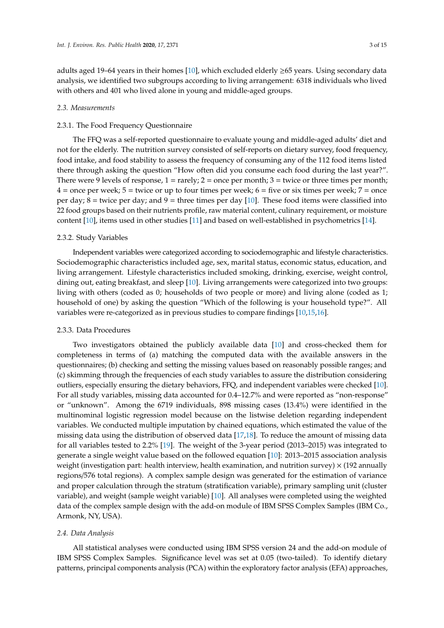adults aged 19–64 years in their homes [\[10\]](#page-13-9), which excluded elderly ≥65 years. Using secondary data analysis, we identified two subgroups according to living arrangement: 6318 individuals who lived with others and 401 who lived alone in young and middle-aged groups.

#### *2.3. Measurements*

#### 2.3.1. The Food Frequency Questionnaire

The FFQ was a self-reported questionnaire to evaluate young and middle-aged adults' diet and not for the elderly. The nutrition survey consisted of self-reports on dietary survey, food frequency, food intake, and food stability to assess the frequency of consuming any of the 112 food items listed there through asking the question "How often did you consume each food during the last year?". There were 9 levels of response,  $1 = \text{rarely}$ ;  $2 = \text{once per month}$ ;  $3 = \text{twice or three times per month}$ ;  $4 =$  once per week;  $5 =$  twice or up to four times per week;  $6 =$  five or six times per week;  $7 =$  once per day;  $8 =$  twice per day; and  $9 =$  three times per day [\[10\]](#page-13-9). These food items were classified into 22 food groups based on their nutrients profile, raw material content, culinary requirement, or moisture content [\[10\]](#page-13-9), items used in other studies [\[11\]](#page-13-10) and based on well-established in psychometrics [\[14\]](#page-13-13).

#### 2.3.2. Study Variables

Independent variables were categorized according to sociodemographic and lifestyle characteristics. Sociodemographic characteristics included age, sex, marital status, economic status, education, and living arrangement. Lifestyle characteristics included smoking, drinking, exercise, weight control, dining out, eating breakfast, and sleep [\[10\]](#page-13-9). Living arrangements were categorized into two groups: living with others (coded as 0; households of two people or more) and living alone (coded as 1; household of one) by asking the question "Which of the following is your household type?". All variables were re-categorized as in previous studies to compare findings [\[10,](#page-13-9)[15,](#page-13-14)[16\]](#page-13-15).

# 2.3.3. Data Procedures

Two investigators obtained the publicly available data [\[10\]](#page-13-9) and cross-checked them for completeness in terms of (a) matching the computed data with the available answers in the questionnaires; (b) checking and setting the missing values based on reasonably possible ranges; and (c) skimming through the frequencies of each study variables to assure the distribution considering outliers, especially ensuring the dietary behaviors, FFQ, and independent variables were checked [\[10\]](#page-13-9). For all study variables, missing data accounted for 0.4–12.7% and were reported as "non-response" or "unknown". Among the 6719 individuals, 898 missing cases (13.4%) were identified in the multinominal logistic regression model because on the listwise deletion regarding independent variables. We conducted multiple imputation by chained equations, which estimated the value of the missing data using the distribution of observed data [\[17,](#page-13-16)[18\]](#page-13-17). To reduce the amount of missing data for all variables tested to 2.2% [\[19\]](#page-13-18). The weight of the 3-year period (2013–2015) was integrated to generate a single weight value based on the followed equation [\[10\]](#page-13-9): 2013–2015 association analysis weight (investigation part: health interview, health examination, and nutrition survey)  $\times$  (192 annually regions/576 total regions). A complex sample design was generated for the estimation of variance and proper calculation through the stratum (stratification variable), primary sampling unit (cluster variable), and weight (sample weight variable) [\[10\]](#page-13-9). All analyses were completed using the weighted data of the complex sample design with the add-on module of IBM SPSS Complex Samples (IBM Co., Armonk, NY, USA).

### *2.4. Data Analysis*

All statistical analyses were conducted using IBM SPSS version 24 and the add-on module of IBM SPSS Complex Samples. Significance level was set at 0.05 (two-tailed). To identify dietary patterns, principal components analysis (PCA) within the exploratory factor analysis (EFA) approaches,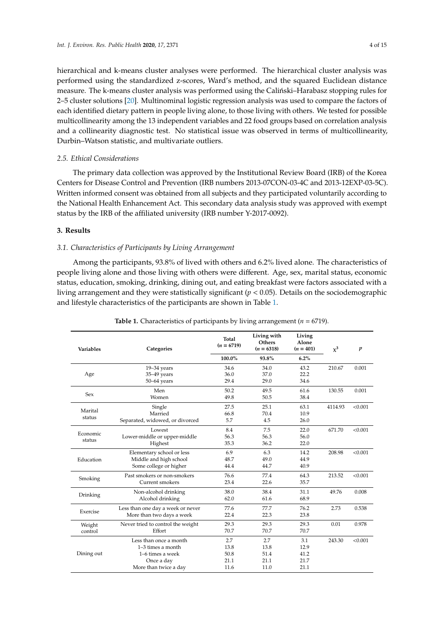hierarchical and k-means cluster analyses were performed. The hierarchical cluster analysis was performed using the standardized z-scores, Ward's method, and the squared Euclidean distance measure. The k-means cluster analysis was performed using the Calintski–Harabasz stopping rules for 2–5 cluster solutions [\[20\]](#page-13-19). Multinominal logistic regression analysis was used to compare the factors of each identified dietary pattern in people living alone, to those living with others. We tested for possible multicollinearity among the 13 independent variables and 22 food groups based on correlation analysis and a collinearity diagnostic test. No statistical issue was observed in terms of multicollinearity, Durbin–Watson statistic, and multivariate outliers.

# *2.5. Ethical Considerations*

The primary data collection was approved by the Institutional Review Board (IRB) of the Korea Centers for Disease Control and Prevention (IRB numbers 2013-07CON-03-4C and 2013-12EXP-03-5C). Written informed consent was obtained from all subjects and they participated voluntarily according to the National Health Enhancement Act. This secondary data analysis study was approved with exempt status by the IRB of the affiliated university (IRB number Y-2017-0092).

# **3. Results**

# *3.1. Characteristics of Participants by Living Arrangement*

Among the participants, 93.8% of lived with others and 6.2% lived alone. The characteristics of people living alone and those living with others were different. Age, sex, marital status, economic status, education, smoking, drinking, dining out, and eating breakfast were factors associated with a living arrangement and they were statistically significant (*p* < 0.05). Details on the sociodemographic and lifestyle characteristics of the participants are shown in Table [1.](#page-4-0)

| Variables          | Categories                        | <b>Total</b><br>$(n = 6719)$ | Living with<br><b>Others</b><br>$(n = 6318)$ | Living<br>Alone<br>$(n = 401)$ | $x^3$   | $\boldsymbol{p}$ |
|--------------------|-----------------------------------|------------------------------|----------------------------------------------|--------------------------------|---------|------------------|
|                    |                                   | 100.0%                       | 93.8%                                        | 6.2%                           |         |                  |
|                    | $19 - 34$ years                   | 34.6                         | 34.0                                         | 43.2                           | 210.67  | 0.001            |
| Age                | 35-49 years                       | 36.0                         | 37.0                                         | 22.2                           |         |                  |
|                    | $50-64$ years                     | 29.4                         | 29.0                                         | 34.6                           |         |                  |
| Sex                | Men                               | 50.2                         | 49.5                                         | 61.6                           | 130.55  | 0.001            |
|                    | Women                             | 49.8                         | 50.5                                         | 38.4                           |         |                  |
| Marital            | Single                            | 27.5                         | 25.1                                         | 63.1                           | 4114.93 | < 0.001          |
|                    | Married                           | 66.8                         | 70.4                                         | 10.9                           |         |                  |
| status             | Separated, widowed, or divorced   | 5.7                          | 4.5                                          | 26.0                           |         |                  |
|                    | Lowest                            | 8.4                          | 7.5                                          | 22.0                           | 671.70  | < 0.001          |
| Economic<br>status | Lower-middle or upper-middle      | 56.3                         | 56.3                                         | 56.0                           |         |                  |
|                    | Highest                           | 35.3                         | 36.2                                         | 22.0                           |         |                  |
| Education          | Elementary school or less         | 6.9                          | 6.3                                          | 14.2                           | 208.98  | < 0.001          |
|                    | Middle and high school            | 48.7                         | 49.0                                         | 44.9                           |         |                  |
|                    | Some college or higher            | 44.4                         | 44.7                                         | 40.9                           |         |                  |
| Smoking            | Past smokers or non-smokers       | 76.6                         | 77.4                                         | 64.3                           | 213.52  | < 0.001          |
|                    | Current smokers                   | 23.4                         | 22.6                                         | 35.7                           |         |                  |
| Drinking           | Non-alcohol drinking              | 38.0                         | 38.4                                         | 31.1                           | 49.76   | 0.008            |
|                    | Alcohol drinking                  | 62.0                         | 61.6                                         | 68.9                           |         |                  |
| Exercise           | Less than one day a week or never | 77.6                         | 77.7                                         | 76.2                           | 2.73    | 0.538            |
|                    | More than two days a week         | 22.4                         | 22.3                                         | 23.8                           |         |                  |
| Weight             | Never tried to control the weight | 29.3                         | 29.3                                         | 29.3                           | 0.01    | 0.978            |
| control            | Effort                            | 70.7                         | 70.7                                         | 70.7                           |         |                  |
|                    | Less than once a month            | 2.7                          | 2.7                                          | 3.1                            | 243.30  | < 0.001          |
|                    | $1-3$ times a month               | 13.8                         | 13.8                                         | 12.9                           |         |                  |
| Dining out         | 1-6 times a week                  | 50.8                         | 51.4                                         | 41.2                           |         |                  |
|                    | Once a day                        | 21.1                         | 21.1                                         | 21.7                           |         |                  |
|                    | More than twice a day             | 11.6                         | 11.0                                         | 21.1                           |         |                  |

**Table 1.** Characteristics of participants by living arrangement ( $n = 6719$ ).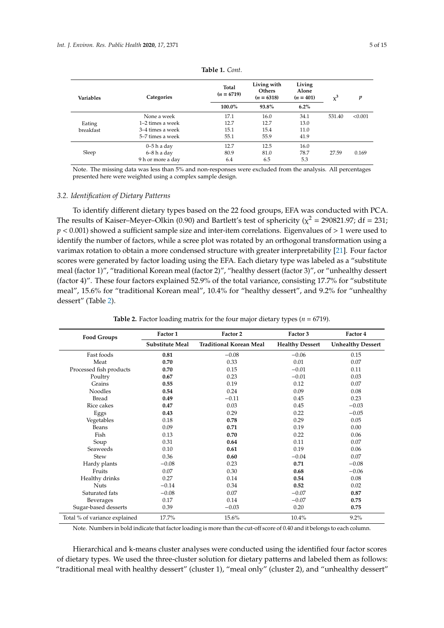<span id="page-4-0"></span>

| Variables | Categories        | Total<br>$(n = 6719)$ | Living with<br>Others<br>$(n = 6318)$ | Living<br>Alone<br>$(n = 401)$ | $\chi^3$ | p       |
|-----------|-------------------|-----------------------|---------------------------------------|--------------------------------|----------|---------|
|           |                   | 100.0%                | 93.8%                                 | $6.2\%$                        |          |         |
| Eating    | None a week       | 17.1                  | 16.0                                  | 34.1                           | 531.40   | < 0.001 |
|           | 1–2 times a week  | 12.7                  | 12.7                                  | 13.0                           |          |         |
| breakfast | 3–4 times a week  | 15.1                  | 15.4                                  | 11.0                           |          |         |
|           | 5–7 times a week  | 55.1                  | 55.9                                  | 41.9                           |          |         |
| Sleep     | $0-5h$ a day      | 12.7                  | 12.5                                  | 16.0                           |          |         |
|           | $6 - 8 h$ a day   | 80.9                  | 81.0                                  | 78.7                           | 27.59    | 0.169   |
|           | 9 h or more a day | 6.4                   | 6.5                                   | 5.3                            |          |         |

**Table 1.** *Cont.*

Note. The missing data was less than 5% and non-responses were excluded from the analysis. All percentages presented here were weighted using a complex sample design.

#### *3.2. Identification of Dietary Patterns*

To identify different dietary types based on the 22 food groups, EFA was conducted with PCA. The results of Kaiser–Meyer–Olkin (0.90) and Bartlett's test of sphericity ( $\chi^2$  = 290821.97; df = 231; *p* < 0.001) showed a sufficient sample size and inter-item correlations. Eigenvalues of > 1 were used to identify the number of factors, while a scree plot was rotated by an orthogonal transformation using a varimax rotation to obtain a more condensed structure with greater interpretability [\[21\]](#page-13-20). Four factor scores were generated by factor loading using the EFA. Each dietary type was labeled as a "substitute meal (factor 1)", "traditional Korean meal (factor 2)", "healthy dessert (factor 3)", or "unhealthy dessert (factor 4)". These four factors explained 52.9% of the total variance, consisting 17.7% for "substitute meal", 15.6% for "traditional Korean meal", 10.4% for "healthy dessert", and 9.2% for "unhealthy dessert" (Table [2\)](#page-4-1).

<span id="page-4-1"></span>

| <b>Food Groups</b>            | Factor 1        | Factor 2                       | Factor 3               | Factor 4                 |
|-------------------------------|-----------------|--------------------------------|------------------------|--------------------------|
|                               | Substitute Meal | <b>Traditional Korean Meal</b> | <b>Healthy Dessert</b> | <b>Unhealthy Dessert</b> |
| Fast foods                    | 0.81            | $-0.08$                        | $-0.06$                | 0.15                     |
| Meat                          | 0.70            | 0.33                           | 0.01                   | 0.07                     |
| Processed fish products       | 0.70            | 0.15                           | $-0.01$                | 0.11                     |
| Poultry                       | 0.67            | 0.23                           | $-0.01$                | 0.03                     |
| Grains                        | 0.55            | 0.19                           | 0.12                   | 0.07                     |
| <b>Noodles</b>                | 0.54            | 0.24                           | 0.09                   | 0.08                     |
| <b>Bread</b>                  | 0.49            | $-0.11$                        | 0.45                   | 0.23                     |
| Rice cakes                    | 0.47            | 0.03                           | 0.45                   | $-0.03$                  |
| Eggs                          | 0.43            | 0.29                           | 0.22                   | $-0.05$                  |
| Vegetables                    | 0.18            | 0.78                           | 0.29                   | 0.05                     |
| Beans                         | 0.09            | 0.71                           | 0.19                   | 0.00                     |
| Fish                          | 0.13            | 0.70                           | 0.22                   | 0.06                     |
| Soup                          | 0.31            | 0.64                           | 0.11                   | 0.07                     |
| Seaweeds                      | 0.10            | 0.61                           | 0.19                   | 0.06                     |
| Stew                          | 0.36            | 0.60                           | $-0.04$                | 0.07                     |
| Hardy plants                  | $-0.08$         | 0.23                           | 0.71                   | $-0.08$                  |
| Fruits                        | 0.07            | 0.30                           | 0.68                   | $-0.06$                  |
| Healthy drinks                | 0.27            | 0.14                           | 0.54                   | 0.08                     |
| <b>Nuts</b>                   | $-0.14$         | 0.34                           | 0.52                   | 0.02                     |
| Saturated fats                | $-0.08$         | 0.07                           | $-0.07$                | 0.87                     |
| <b>Beverages</b>              | 0.17            | 0.14                           | $-0.07$                | 0.75                     |
| Sugar-based desserts          | 0.39            | $-0.03$                        | 0.20                   | 0.75                     |
| Total % of variance explained | 17.7%           | 15.6%                          | 10.4%                  | 9.2%                     |

**Table 2.** Factor loading matrix for the four major dietary types ( $n = 6719$ ).

Note. Numbers in bold indicate that factor loading is more than the cut-off score of 0.40 and it belongs to each column.

Hierarchical and k-means cluster analyses were conducted using the identified four factor scores of dietary types. We used the three-cluster solution for dietary patterns and labeled them as follows: "traditional meal with healthy dessert" (cluster 1), "meal only" (cluster 2), and "unhealthy dessert"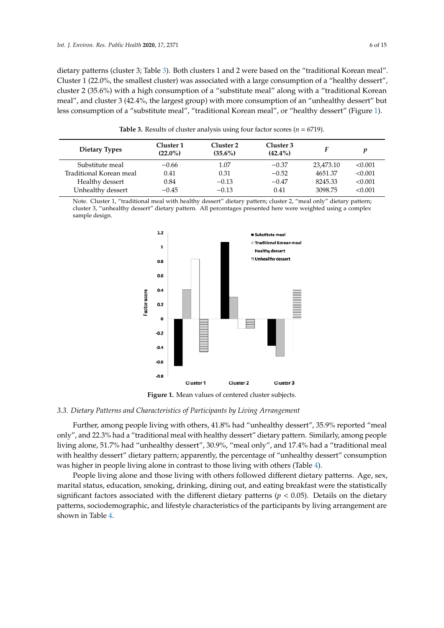dietary patterns (cluster 3; Table [3\)](#page-5-0). Both clusters 1 and 2 were based on the "traditional Korean meal". Cluster 1 (22.0%, the smallest cluster) was associated with a large consumption of a "healthy dessert", cluster 2 (35.6%) with a high consumption of a "substitute meal" along with a "traditional Korean meal", and cluster 3 (42.4%, the largest group) with more consumption of an "unhealthy dessert" but less consumption of a "substitute meal", "traditional Korean meal", or "healthy dessert" (Figure [1\)](#page-5-1).

<span id="page-5-0"></span>

| Dietary Types           | Cluster 1<br>$(22.0\%)$ | Cluster 2<br>$(35.6\%)$ | Cluster 3<br>$(42.4\%)$ |           |         |
|-------------------------|-------------------------|-------------------------|-------------------------|-----------|---------|
| Substitute meal         | $-0.66$                 | 1.07                    | $-0.37$                 | 23,473.10 | < 0.001 |
| Traditional Korean meal | 0.41                    | 0.31                    | $-0.52$                 | 4651.37   | < 0.001 |
| Healthy dessert         | 0.84                    | $-0.13$                 | $-0.47$                 | 8245.33   | < 0.001 |
| Unhealthy dessert       | $-0.45$                 | $-0.13$                 | 0.41                    | 3098.75   | < 0.001 |

**Table 3.** Results of cluster analysis using four factor scores ( $n = 6719$ ).

<span id="page-5-1"></span>Note. Cluster 1, "traditional meal with healthy dessert" dietary pattern; cluster 2, "meal only" dietary pattern; cluster 3, "unhealthy dessert" dietary pattern. All percentages presented here were weighted using a complex sample design.



**Figure 1.** Mean values of centered cluster subjects. **Figure 1.** Mean values of centered cluster subjects.

# *3.3. Dietary Patterns and Characteristics of Participants by Living Arrangement*

Further, among people living with others, 41.8% had "unhealthy dessert", 35.9% reported "meal only", and 22.3% had a "traditional meal with healthy dessert" dietary pattern. Similarly, among people living alone, 51.7% had "unhealthy dessert", 30.9%, "meal only", and 17.4% had a "traditional meal with healthy dessert" dietary pattern; apparently, the percentage of "unhealthy dessert" consumption was higher in people living alone in contrast to those living with others (Table [4\)](#page-7-0).

People living alone and those living with others followed different dietary patterns. Age, sex, marital status, education, smoking, drinking, dining out, and eating breakfast were the statistically significant factors associated with the different dietary patterns ( $p < 0.05$ ). Details on the dietary patterns, sociodemographic, and lifestyle characteristics of the participants by living arrangement are  $s$ hown in Table [4.](#page-7-0)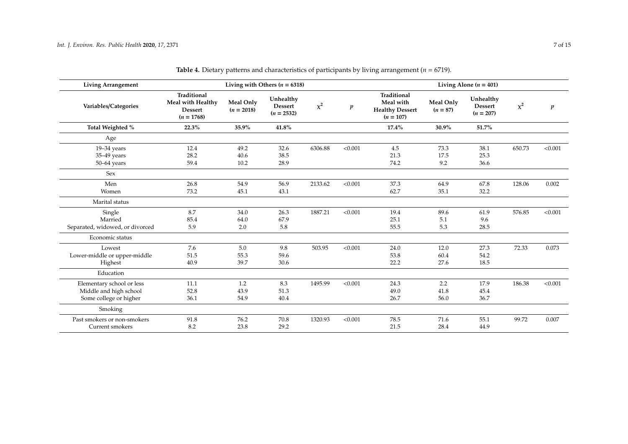| <b>Living Arrangement</b>       |                                                                    |                           | Living with Others ( $n = 6318$ )           |          |         |                                                                   |                         | Living Alone ( $n = 401$ )                 |          |                  |
|---------------------------------|--------------------------------------------------------------------|---------------------------|---------------------------------------------|----------|---------|-------------------------------------------------------------------|-------------------------|--------------------------------------------|----------|------------------|
| Variables/Categories            | Traditional<br>Meal with Healthy<br><b>Dessert</b><br>$(n = 1768)$ | Meal Only<br>$(n = 2018)$ | Unhealthy<br><b>Dessert</b><br>$(n = 2532)$ | $\chi^2$ | p       | Traditional<br>Meal with<br><b>Healthy Dessert</b><br>$(n = 107)$ | Meal Only<br>$(n = 87)$ | Unhealthy<br><b>Dessert</b><br>$(n = 207)$ | $\chi^2$ | $\boldsymbol{p}$ |
| Total Weighted %                | 22.3%                                                              | 35.9%                     | 41.8%                                       |          |         | $17.4\%$                                                          | 30.9%                   | 51.7%                                      |          |                  |
| Age                             |                                                                    |                           |                                             |          |         |                                                                   |                         |                                            |          |                  |
| $19 - 34$ years                 | 12.4                                                               | 49.2                      | 32.6                                        | 6306.88  | < 0.001 | 4.5                                                               | 73.3                    | 38.1                                       | 650.73   | < 0.001          |
| 35-49 years                     | 28.2                                                               | 40.6                      | 38.5                                        |          |         | 21.3                                                              | 17.5                    | 25.3                                       |          |                  |
| $50-64$ years                   | 59.4                                                               | 10.2                      | 28.9                                        |          |         | 74.2                                                              | 9.2                     | 36.6                                       |          |                  |
| Sex                             |                                                                    |                           |                                             |          |         |                                                                   |                         |                                            |          |                  |
| Men                             | 26.8                                                               | 54.9                      | 56.9                                        | 2133.62  | < 0.001 | 37.3                                                              | 64.9                    | 67.8                                       | 128.06   | 0.002            |
| Women                           | 73.2                                                               | 45.1                      | 43.1                                        |          |         | 62.7                                                              | 35.1                    | 32.2                                       |          |                  |
| Marital status                  |                                                                    |                           |                                             |          |         |                                                                   |                         |                                            |          |                  |
| Single                          | 8.7                                                                | 34.0                      | 26.3                                        | 1887.21  | < 0.001 | 19.4                                                              | 89.6                    | 61.9                                       | 576.85   | < 0.001          |
| Married                         | 85.4                                                               | 64.0                      | 67.9                                        |          |         | 25.1                                                              | 5.1                     | 9.6                                        |          |                  |
| Separated, widowed, or divorced | 5.9                                                                | 2.0                       | 5.8                                         |          |         | 55.5                                                              | 5.3                     | 28.5                                       |          |                  |
| Economic status                 |                                                                    |                           |                                             |          |         |                                                                   |                         |                                            |          |                  |
| Lowest                          | 7.6                                                                | 5.0                       | 9.8                                         | 503.95   | < 0.001 | 24.0                                                              | 12.0                    | 27.3                                       | 72.33    | 0.073            |
| Lower-middle or upper-middle    | 51.5                                                               | 55.3                      | 59.6                                        |          |         | 53.8                                                              | 60.4                    | 54.2                                       |          |                  |
| Highest                         | 40.9                                                               | 39.7                      | 30.6                                        |          |         | 22.2                                                              | 27.6                    | 18.5                                       |          |                  |
| Education                       |                                                                    |                           |                                             |          |         |                                                                   |                         |                                            |          |                  |
| Elementary school or less       | 11.1                                                               | 1.2                       | 8.3                                         | 1495.99  | < 0.001 | 24.3                                                              | 2.2                     | 17.9                                       | 186.38   | < 0.001          |
| Middle and high school          | 52.8                                                               | 43.9                      | 51.3                                        |          |         | 49.0                                                              | 41.8                    | 45.4                                       |          |                  |
| Some college or higher          | 36.1                                                               | 54.9                      | 40.4                                        |          |         | 26.7                                                              | 56.0                    | 36.7                                       |          |                  |
| Smoking                         |                                                                    |                           |                                             |          |         |                                                                   |                         |                                            |          |                  |
| Past smokers or non-smokers     | 91.8                                                               | 76.2                      | 70.8                                        | 1320.93  | < 0.001 | 78.5                                                              | 71.6                    | 55.1                                       | 99.72    | 0.007            |
| Current smokers                 | 8.2                                                                | 23.8                      | 29.2                                        |          |         | 21.5                                                              | 28.4                    | 44.9                                       |          |                  |

**Table 4.** Dietary patterns and characteristics of participants by living arrangement (*n* = 6719).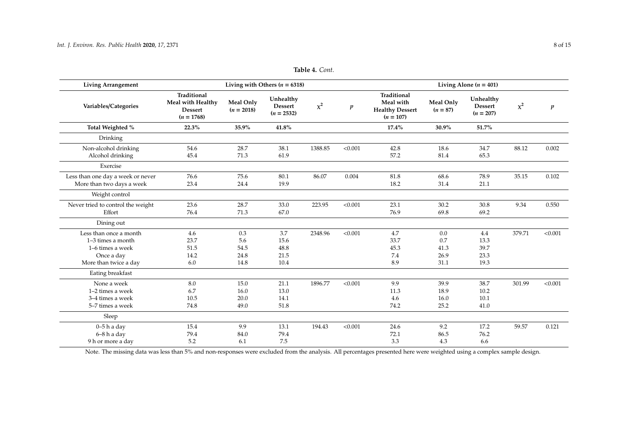| <b>Living Arrangement</b>                                                                                |                                                                           |                                    | Living with Others ( $n = 6318$ )           |          |         | Living Alone ( $n = 401$ )                                        |                                    |                                     |          |                  |  |
|----------------------------------------------------------------------------------------------------------|---------------------------------------------------------------------------|------------------------------------|---------------------------------------------|----------|---------|-------------------------------------------------------------------|------------------------------------|-------------------------------------|----------|------------------|--|
| Variables/Categories                                                                                     | <b>Traditional</b><br>Meal with Healthy<br><b>Dessert</b><br>$(n = 1768)$ | Meal Only<br>$(n = 2018)$          | Unhealthy<br><b>Dessert</b><br>$(n = 2532)$ | $\chi^2$ | p       | Traditional<br>Meal with<br><b>Healthy Dessert</b><br>$(n = 107)$ | Meal Only<br>$(n = 87)$            | Unhealthy<br>Dessert<br>$(n = 207)$ | $\chi^2$ | $\boldsymbol{p}$ |  |
| Total Weighted %                                                                                         | 22.3%                                                                     | 35.9%                              | 41.8%                                       |          |         | 17.4%                                                             | 30.9%                              | 51.7%                               |          |                  |  |
| Drinking                                                                                                 |                                                                           |                                    |                                             |          |         |                                                                   |                                    |                                     |          |                  |  |
| Non-alcohol drinking<br>Alcohol drinking                                                                 | 54.6<br>45.4                                                              | 28.7<br>71.3                       | 38.1<br>61.9                                | 1388.85  | < 0.001 | 42.8<br>57.2                                                      | 18.6<br>81.4                       | 34.7<br>65.3                        | 88.12    | 0.002            |  |
| Exercise                                                                                                 |                                                                           |                                    |                                             |          |         |                                                                   |                                    |                                     |          |                  |  |
| Less than one day a week or never<br>More than two days a week                                           | 76.6<br>23.4                                                              | 75.6<br>24.4                       | 80.1<br>19.9                                | 86.07    | 0.004   | 81.8<br>18.2                                                      | 68.6<br>31.4                       | 78.9<br>21.1                        | 35.15    | 0.102            |  |
| Weight control                                                                                           |                                                                           |                                    |                                             |          |         |                                                                   |                                    |                                     |          |                  |  |
| Never tried to control the weight<br>Effort                                                              | 23.6<br>76.4                                                              | 28.7<br>71.3                       | 33.0<br>67.0                                | 223.95   | < 0.001 | 23.1<br>76.9                                                      | 30.2<br>69.8                       | 30.8<br>69.2                        | 9.34     | 0.550            |  |
| Dining out                                                                                               |                                                                           |                                    |                                             |          |         |                                                                   |                                    |                                     |          |                  |  |
| Less than once a month<br>$1-3$ times a month<br>1–6 times a week<br>Once a day<br>More than twice a day | 4.6<br>23.7<br>51.5<br>14.2<br>6.0                                        | 0.3<br>5.6<br>54.5<br>24.8<br>14.8 | 3.7<br>15.6<br>48.8<br>21.5<br>10.4         | 2348.96  | < 0.001 | 4.7<br>33.7<br>45.3<br>7.4<br>8.9                                 | 0.0<br>0.7<br>41.3<br>26.9<br>31.1 | 4.4<br>13.3<br>39.7<br>23.3<br>19.3 | 379.71   | < 0.001          |  |
| Eating breakfast                                                                                         |                                                                           |                                    |                                             |          |         |                                                                   |                                    |                                     |          |                  |  |
| None a week<br>1-2 times a week<br>3–4 times a week<br>5-7 times a week                                  | 8.0<br>6.7<br>10.5<br>74.8                                                | 15.0<br>16.0<br>20.0<br>49.0       | 21.1<br>13.0<br>14.1<br>51.8                | 1896.77  | < 0.001 | 9.9<br>11.3<br>4.6<br>74.2                                        | 39.9<br>18.9<br>16.0<br>25.2       | 38.7<br>10.2<br>10.1<br>41.0        | 301.99   | < 0.001          |  |
| Sleep                                                                                                    |                                                                           |                                    |                                             |          |         |                                                                   |                                    |                                     |          |                  |  |
| $0-5h$ a day<br>$6 - 8 h$ a day<br>9 h or more a day                                                     | 15.4<br>79.4<br>5.2                                                       | 9.9<br>84.0<br>6.1                 | 13.1<br>79.4<br>7.5                         | 194.43   | < 0.001 | 24.6<br>72.1<br>3.3                                               | 9.2<br>86.5<br>4.3                 | 17.2<br>76.2<br>6.6                 | 59.57    | 0.121            |  |

**Table 4.** *Cont.*

<span id="page-7-0"></span>Note. The missing data was less than 5% and non-responses were excluded from the analysis. All percentages presented here were weighted using a complex sample design.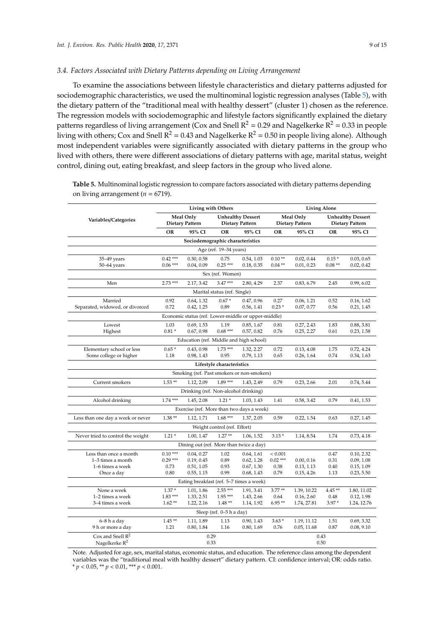# *3.4. Factors Associated with Dietary Patterns depending on Living Arrangement*

To examine the associations between lifestyle characteristics and dietary patterns adjusted for sociodemographic characteristics, we used the multinominal logistic regression analyses (Table [5\)](#page-8-0), with the dietary pattern of the "traditional meal with healthy dessert" (cluster 1) chosen as the reference. The regression models with sociodemographic and lifestyle factors significantly explained the dietary patterns regardless of living arrangement (Cox and Snell  $R^2 = 0.29$  and Nagelkerke  $R^2 = 0.33$  in people living with others; Cox and Snell  $R^2 = 0.43$  and Nagelkerke  $R^2 = 0.50$  in people living alone). Although most independent variables were significantly associated with dietary patterns in the group who lived with others, there were different associations of dietary patterns with age, marital status, weight control, dining out, eating breakfast, and sleep factors in the group who lived alone.

|                                          | <b>Living with Others</b>               |                                                     |                              | <b>Living Alone</b>                                |                  |                                     |                 |                                                    |  |  |
|------------------------------------------|-----------------------------------------|-----------------------------------------------------|------------------------------|----------------------------------------------------|------------------|-------------------------------------|-----------------|----------------------------------------------------|--|--|
| Variables/Categories                     |                                         | Meal Only<br><b>Dietary Pattern</b>                 |                              | <b>Unhealthy Dessert</b><br><b>Dietary Pattern</b> |                  | Meal Only<br><b>Dietary Pattern</b> |                 | <b>Unhealthy Dessert</b><br><b>Dietary Pattern</b> |  |  |
|                                          | <b>OR</b>                               | 95% CI                                              | <b>OR</b>                    | 95% CI                                             | <b>OR</b>        | 95% CI                              | <b>OR</b>       | 95% CI                                             |  |  |
|                                          |                                         | Sociodemographic characteristics                    |                              |                                                    |                  |                                     |                 |                                                    |  |  |
|                                          | Age (ref. 19–34 years)                  |                                                     |                              |                                                    |                  |                                     |                 |                                                    |  |  |
| $35 - 49$ years                          | $0.42***$                               | 0.30, 0.58                                          | 0.75                         | 0.54, 1.03                                         | $0.10**$         | 0.02, 0.44                          | $0.15*$         | 0.03, 0.65                                         |  |  |
| $50-64$ years                            | $0.06***$                               | 0.04, 0.09                                          | $0.25***$                    | 0.18, 0.35                                         | $0.04**$         | 0.01, 0.23                          | $0.08**$        | 0.02, 0.42                                         |  |  |
|                                          |                                         |                                                     | Sex (ref. Women)             |                                                    |                  |                                     |                 |                                                    |  |  |
| Men                                      | $2.73***$                               | 2.17, 3.42                                          | $3.47***$                    | 2.80, 4.29                                         | 2.37             | 0.83, 6.79                          | 2.45            | 0.99, 6.02                                         |  |  |
|                                          |                                         |                                                     | Marital status (ref. Single) |                                                    |                  |                                     |                 |                                                    |  |  |
| Married                                  | 0.92                                    | 0.64, 1.32                                          | $0.67*$                      | 0.47, 0.96                                         | 0.27             | 0.06, 1.21                          | 0.52            | 0.16, 1.62                                         |  |  |
| Separated, widowed, or divorced          | 0.72                                    | 0.42, 1.25                                          | 0.89                         | 0.56, 1.41                                         | $0.23*$          | 0.07, 0.77                          | 0.56            | 0.21, 1.45                                         |  |  |
|                                          |                                         | Economic status (ref. Lower-middle or upper-middle) |                              |                                                    |                  |                                     |                 |                                                    |  |  |
| Lowest                                   | 1.03                                    | 0.69, 1.53                                          | 1.19                         | 0.85, 1.67                                         | 0.81             | 0.27, 2.43                          | 1.83            | 0.88, 3.81                                         |  |  |
| Highest                                  | $0.81*$                                 | 0.67, 0.98                                          | $0.68***$                    | 0.57, 0.82                                         | 0.76             | 0.25, 2.27                          | 0.61            | 0.23, 1.58                                         |  |  |
|                                          | Education (ref. Middle and high school) |                                                     |                              |                                                    |                  |                                     |                 |                                                    |  |  |
| Elementary school or less                | $0.65*$                                 | 0.43, 0.98                                          | $1.73***$                    | 1.32, 2.27                                         | 0.72             | 0.13, 4.08                          | 1.75            | 0.72, 4.24                                         |  |  |
| Some college or higher                   | 1.18                                    | 0.98, 1.43                                          | 0.95                         | 0.79, 1.13                                         | 0.65             | 0.26, 1.64                          | 0.74            | 0.34, 1.63                                         |  |  |
|                                          |                                         |                                                     | Lifestyle characteristics    |                                                    |                  |                                     |                 |                                                    |  |  |
|                                          |                                         | Smoking (ref. Past smokers or non-smokers)          |                              |                                                    |                  |                                     |                 |                                                    |  |  |
| Current smokers                          | $1.53**$                                | 1.12, 2.09                                          | $1.89***$                    | 1.43, 2.49                                         | 0.79             | 0.23, 2.66                          | 2.01            | 0.74, 5.44                                         |  |  |
|                                          |                                         | Drinking (ref. Non-alcohol drinking)                |                              |                                                    |                  |                                     |                 |                                                    |  |  |
| Alcohol drinking                         | $1.74***$                               | 1.45, 2.08                                          | $1.21*$                      | 1.03, 1.43                                         | 1.41             | 0.58, 3.42                          | 0.79            | 0.41, 1.53                                         |  |  |
|                                          |                                         | Exercise (ref. More than two days a week)           |                              |                                                    |                  |                                     |                 |                                                    |  |  |
| Less than one day a week or never        | $1.38**$                                | 1.12, 1.71                                          | $1.68***$                    | 1.37, 2.05                                         | 0.59             | 0.22, 1.54                          | 0.63            | 0.27, 1.45                                         |  |  |
|                                          |                                         |                                                     | Weight control (ref. Effort) |                                                    |                  |                                     |                 |                                                    |  |  |
| Never tried to control the weight        | $1.21*$                                 | 1.00, 1.47                                          | $1.27**$                     | 1.06, 1.52                                         | $3.13*$          | 1.14, 8.54                          | 1.74            | 0.73, 4.18                                         |  |  |
|                                          |                                         | Dining out (ref. More than twice a day)             |                              |                                                    |                  |                                     |                 |                                                    |  |  |
| Less than once a month                   | $0.10***$                               | 0.04, 0.27                                          | 1.02                         | 0.64, 1.61                                         | < 0.001          |                                     | 0.47            | 0.10, 2.32                                         |  |  |
| 1-3 times a month                        | $0.29***$                               | 0.19, 0.45                                          | 0.89                         | 0.62, 1.28                                         | $0.02***$        | 0.00, 0.16                          | 0.31            | 0.09, 1.08                                         |  |  |
| 1–6 times a week                         | 0.73                                    | 0.51, 1.05                                          | 0.93                         | 0.67, 1.30                                         | 0.38             | 0.13, 1.13                          | 0.40            | 0.15, 1.09                                         |  |  |
| Once a day                               | 0.80                                    | 0.55, 1.15                                          | 0.99                         | 0.68, 1.43                                         | 0.79             | 0.15, 4.26                          | 1.13            | 0.23, 5.50                                         |  |  |
| Eating breakfast (ref. 5-7 times a week) |                                         |                                                     |                              |                                                    |                  |                                     |                 |                                                    |  |  |
| None a week                              | $1.37\,^*$                              | 1.01, 1.86                                          | $2.55***$<br>$1.95***$       | 1.91, 3.41                                         | $3.77**$         | 1.39, 10.22                         | $4.45**$        | 1.80, 11.02                                        |  |  |
| 1-2 times a week<br>3-4 times a week     | $1.83***$<br>$1.62**$                   | 1.33, 2.51<br>1.22, 2.16                            | $1.48**$                     | 1.43, 2.66<br>1.14, 1.92                           | 0.64<br>$6.95**$ | 0.16, 2.60<br>1.74, 27.81           | 0.48<br>$3.97*$ | 0.12, 1.98<br>1.24, 12.76                          |  |  |
|                                          |                                         |                                                     | Sleep (ref. 0-5 h a day)     |                                                    |                  |                                     |                 |                                                    |  |  |
| 6–8 h a day                              | $1.45**$                                | 1.11, 1.89                                          | 1.13                         | 0.90, 1.43                                         | $3.63*$          | 1.19, 11.12                         | 1.51            | 0.69, 3.32                                         |  |  |
| 9 h or more a day                        | 1.21                                    | 0.80, 1.84                                          | 1.16                         | 0.80, 1.69                                         | 0.76             | 0.05, 11.68                         | 0.87            | 0.08, 9.10                                         |  |  |
| Cox and Snell $R^2$                      |                                         | 0.29                                                |                              |                                                    |                  |                                     | 0.43            |                                                    |  |  |
| Nagelkerke $R^2$                         | 0.33<br>0.50                            |                                                     |                              |                                                    |                  |                                     |                 |                                                    |  |  |

<span id="page-8-0"></span>**Table 5.** Multinominal logistic regression to compare factors associated with dietary patterns depending on living arrangement ( $n = 6719$ ).

Note. Adjusted for age, sex, marital status, economic status, and education. The reference class among the dependent variables was the "traditional meal with healthy dessert" dietary pattern. CI: confidence interval; OR: odds ratio. \* *p* < 0.05, \*\* *p* < 0.01, \*\*\* *p* < 0.001.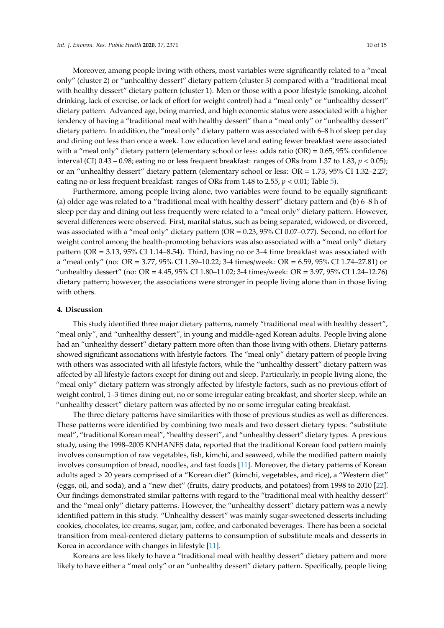Moreover, among people living with others, most variables were significantly related to a "meal only" (cluster 2) or "unhealthy dessert" dietary pattern (cluster 3) compared with a "traditional meal with healthy dessert" dietary pattern (cluster 1). Men or those with a poor lifestyle (smoking, alcohol drinking, lack of exercise, or lack of effort for weight control) had a "meal only" or "unhealthy dessert" dietary pattern. Advanced age, being married, and high economic status were associated with a higher tendency of having a "traditional meal with healthy dessert" than a "meal only" or "unhealthy dessert" dietary pattern. In addition, the "meal only" dietary pattern was associated with 6–8 h of sleep per day and dining out less than once a week. Low education level and eating fewer breakfast were associated with a "meal only" dietary pattern (elementary school or less: odds ratio  $(OR) = 0.65$ , 95% confidence interval (CI) 0.43 – 0.98; eating no or less frequent breakfast: ranges of ORs from 1.37 to 1.83, *p* < 0.05); or an "unhealthy dessert" dietary pattern (elementary school or less: OR = 1.73, 95% CI 1.32–2.27; eating no or less frequent breakfast: ranges of ORs from 1.48 to 2.55, *p* < 0.01; Table [5\)](#page-8-0).

Furthermore, among people living alone, two variables were found to be equally significant: (a) older age was related to a "traditional meal with healthy dessert" dietary pattern and (b) 6–8 h of sleep per day and dining out less frequently were related to a "meal only" dietary pattern. However, several differences were observed. First, marital status, such as being separated, widowed, or divorced, was associated with a "meal only" dietary pattern (OR = 0.23, 95% CI 0.07–0.77). Second, no effort for weight control among the health-promoting behaviors was also associated with a "meal only" dietary pattern (OR = 3.13, 95% CI 1.14–8.54). Third, having no or 3–4 time breakfast was associated with a "meal only" (no: OR = 3.77, 95% CI 1.39–10.22; 3-4 times/week: OR = 6.59, 95% CI 1.74–27.81) or "unhealthy dessert" (no: OR = 4.45, 95% CI 1.80–11.02; 3-4 times/week: OR = 3.97, 95% CI 1.24–12.76) dietary pattern; however, the associations were stronger in people living alone than in those living with others.

#### **4. Discussion**

This study identified three major dietary patterns, namely "traditional meal with healthy dessert", "meal only", and "unhealthy dessert", in young and middle-aged Korean adults. People living alone had an "unhealthy dessert" dietary pattern more often than those living with others. Dietary patterns showed significant associations with lifestyle factors. The "meal only" dietary pattern of people living with others was associated with all lifestyle factors, while the "unhealthy dessert" dietary pattern was affected by all lifestyle factors except for dining out and sleep. Particularly, in people living alone, the "meal only" dietary pattern was strongly affected by lifestyle factors, such as no previous effort of weight control, 1–3 times dining out, no or some irregular eating breakfast, and shorter sleep, while an "unhealthy dessert" dietary pattern was affected by no or some irregular eating breakfast.

The three dietary patterns have similarities with those of previous studies as well as differences. These patterns were identified by combining two meals and two dessert dietary types: "substitute meal", "traditional Korean meal", "healthy dessert", and "unhealthy dessert" dietary types. A previous study, using the 1998–2005 KNHANES data, reported that the traditional Korean food pattern mainly involves consumption of raw vegetables, fish, kimchi, and seaweed, while the modified pattern mainly involves consumption of bread, noodles, and fast foods [\[11\]](#page-13-10). Moreover, the dietary patterns of Korean adults aged > 20 years comprised of a "Korean diet" (kimchi, vegetables, and rice), a "Western diet" (eggs, oil, and soda), and a "new diet" (fruits, dairy products, and potatoes) from 1998 to 2010 [\[22\]](#page-14-0). Our findings demonstrated similar patterns with regard to the "traditional meal with healthy dessert" and the "meal only" dietary patterns. However, the "unhealthy dessert" dietary pattern was a newly identified pattern in this study. "Unhealthy dessert" was mainly sugar-sweetened desserts including cookies, chocolates, ice creams, sugar, jam, coffee, and carbonated beverages. There has been a societal transition from meal-centered dietary patterns to consumption of substitute meals and desserts in Korea in accordance with changes in lifestyle [\[11\]](#page-13-10).

Koreans are less likely to have a "traditional meal with healthy dessert" dietary pattern and more likely to have either a "meal only" or an "unhealthy dessert" dietary pattern. Specifically, people living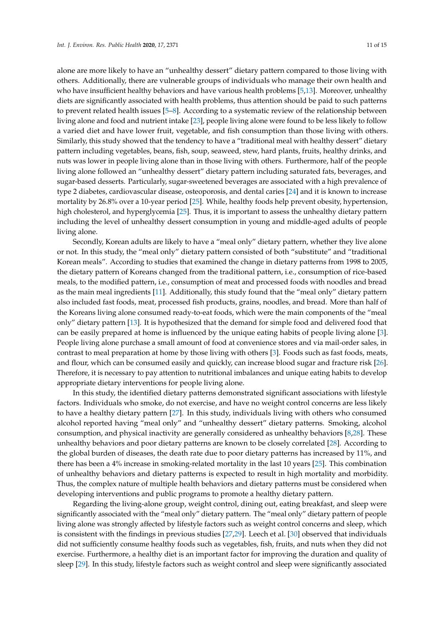alone are more likely to have an "unhealthy dessert" dietary pattern compared to those living with others. Additionally, there are vulnerable groups of individuals who manage their own health and who have insufficient healthy behaviors and have various health problems [\[5](#page-13-4)[,13\]](#page-13-12). Moreover, unhealthy diets are significantly associated with health problems, thus attention should be paid to such patterns to prevent related health issues [\[5](#page-13-4)[–8\]](#page-13-7). According to a systematic review of the relationship between living alone and food and nutrient intake [\[23\]](#page-14-1), people living alone were found to be less likely to follow a varied diet and have lower fruit, vegetable, and fish consumption than those living with others. Similarly, this study showed that the tendency to have a "traditional meal with healthy dessert" dietary pattern including vegetables, beans, fish, soup, seaweed, stew, hard plants, fruits, healthy drinks, and nuts was lower in people living alone than in those living with others. Furthermore, half of the people living alone followed an "unhealthy dessert" dietary pattern including saturated fats, beverages, and sugar-based desserts. Particularly, sugar-sweetened beverages are associated with a high prevalence of type 2 diabetes, cardiovascular disease, osteoporosis, and dental caries [\[24\]](#page-14-2) and it is known to increase mortality by 26.8% over a 10-year period [\[25\]](#page-14-3). While, healthy foods help prevent obesity, hypertension, high cholesterol, and hyperglycemia [\[25\]](#page-14-3). Thus, it is important to assess the unhealthy dietary pattern including the level of unhealthy dessert consumption in young and middle-aged adults of people living alone.

Secondly, Korean adults are likely to have a "meal only" dietary pattern, whether they live alone or not. In this study, the "meal only" dietary pattern consisted of both "substitute" and "traditional Korean meals". According to studies that examined the change in dietary patterns from 1998 to 2005, the dietary pattern of Koreans changed from the traditional pattern, i.e., consumption of rice-based meals, to the modified pattern, i.e., consumption of meat and processed foods with noodles and bread as the main meal ingredients [\[11\]](#page-13-10). Additionally, this study found that the "meal only" dietary pattern also included fast foods, meat, processed fish products, grains, noodles, and bread. More than half of the Koreans living alone consumed ready-to-eat foods, which were the main components of the "meal only" dietary pattern [\[13\]](#page-13-12). It is hypothesized that the demand for simple food and delivered food that can be easily prepared at home is influenced by the unique eating habits of people living alone [\[3\]](#page-13-2). People living alone purchase a small amount of food at convenience stores and via mail-order sales, in contrast to meal preparation at home by those living with others [\[3\]](#page-13-2). Foods such as fast foods, meats, and flour, which can be consumed easily and quickly, can increase blood sugar and fracture risk [\[26\]](#page-14-4). Therefore, it is necessary to pay attention to nutritional imbalances and unique eating habits to develop appropriate dietary interventions for people living alone.

In this study, the identified dietary patterns demonstrated significant associations with lifestyle factors. Individuals who smoke, do not exercise, and have no weight control concerns are less likely to have a healthy dietary pattern [\[27\]](#page-14-5). In this study, individuals living with others who consumed alcohol reported having "meal only" and "unhealthy dessert" dietary patterns. Smoking, alcohol consumption, and physical inactivity are generally considered as unhealthy behaviors [\[8](#page-13-7)[,28\]](#page-14-6). These unhealthy behaviors and poor dietary patterns are known to be closely correlated [\[28\]](#page-14-6). According to the global burden of diseases, the death rate due to poor dietary patterns has increased by 11%, and there has been a 4% increase in smoking-related mortality in the last 10 years [\[25\]](#page-14-3). This combination of unhealthy behaviors and dietary patterns is expected to result in high mortality and morbidity. Thus, the complex nature of multiple health behaviors and dietary patterns must be considered when developing interventions and public programs to promote a healthy dietary pattern.

Regarding the living-alone group, weight control, dining out, eating breakfast, and sleep were significantly associated with the "meal only" dietary pattern. The "meal only" dietary pattern of people living alone was strongly affected by lifestyle factors such as weight control concerns and sleep, which is consistent with the findings in previous studies [\[27](#page-14-5)[,29\]](#page-14-7). Leech et al. [\[30\]](#page-14-8) observed that individuals did not sufficiently consume healthy foods such as vegetables, fish, fruits, and nuts when they did not exercise. Furthermore, a healthy diet is an important factor for improving the duration and quality of sleep [\[29\]](#page-14-7). In this study, lifestyle factors such as weight control and sleep were significantly associated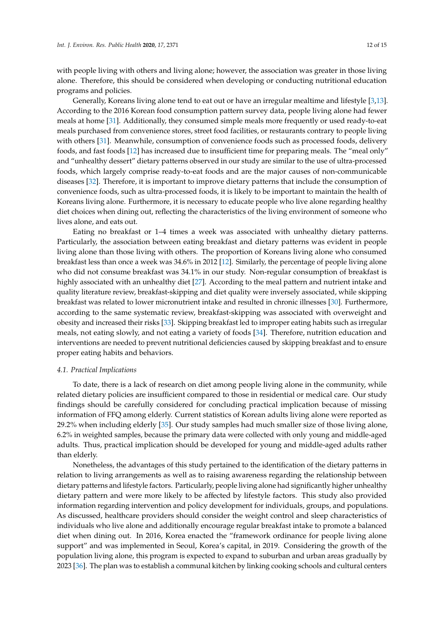with people living with others and living alone; however, the association was greater in those living alone. Therefore, this should be considered when developing or conducting nutritional education programs and policies.

Generally, Koreans living alone tend to eat out or have an irregular mealtime and lifestyle [\[3,](#page-13-2)[13\]](#page-13-12). According to the 2016 Korean food consumption pattern survey data, people living alone had fewer meals at home [\[31\]](#page-14-9). Additionally, they consumed simple meals more frequently or used ready-to-eat meals purchased from convenience stores, street food facilities, or restaurants contrary to people living with others [\[31\]](#page-14-9). Meanwhile, consumption of convenience foods such as processed foods, delivery foods, and fast foods [\[12\]](#page-13-11) has increased due to insufficient time for preparing meals. The "meal only" and "unhealthy dessert" dietary patterns observed in our study are similar to the use of ultra-processed foods, which largely comprise ready-to-eat foods and are the major causes of non-communicable diseases [\[32\]](#page-14-10). Therefore, it is important to improve dietary patterns that include the consumption of convenience foods, such as ultra-processed foods, it is likely to be important to maintain the health of Koreans living alone. Furthermore, it is necessary to educate people who live alone regarding healthy diet choices when dining out, reflecting the characteristics of the living environment of someone who lives alone, and eats out.

Eating no breakfast or 1–4 times a week was associated with unhealthy dietary patterns. Particularly, the association between eating breakfast and dietary patterns was evident in people living alone than those living with others. The proportion of Koreans living alone who consumed breakfast less than once a week was 34.6% in 2012 [\[12\]](#page-13-11). Similarly, the percentage of people living alone who did not consume breakfast was 34.1% in our study. Non-regular consumption of breakfast is highly associated with an unhealthy diet [\[27\]](#page-14-5). According to the meal pattern and nutrient intake and quality literature review, breakfast-skipping and diet quality were inversely associated, while skipping breakfast was related to lower micronutrient intake and resulted in chronic illnesses [\[30\]](#page-14-8). Furthermore, according to the same systematic review, breakfast-skipping was associated with overweight and obesity and increased their risks [\[33\]](#page-14-11). Skipping breakfast led to improper eating habits such as irregular meals, not eating slowly, and not eating a variety of foods [\[34\]](#page-14-12). Therefore, nutrition education and interventions are needed to prevent nutritional deficiencies caused by skipping breakfast and to ensure proper eating habits and behaviors.

### *4.1. Practical Implications*

To date, there is a lack of research on diet among people living alone in the community, while related dietary policies are insufficient compared to those in residential or medical care. Our study findings should be carefully considered for concluding practical implication because of missing information of FFQ among elderly. Current statistics of Korean adults living alone were reported as 29.2% when including elderly [\[35\]](#page-14-13). Our study samples had much smaller size of those living alone, 6.2% in weighted samples, because the primary data were collected with only young and middle-aged adults. Thus, practical implication should be developed for young and middle-aged adults rather than elderly.

Nonetheless, the advantages of this study pertained to the identification of the dietary patterns in relation to living arrangements as well as to raising awareness regarding the relationship between dietary patterns and lifestyle factors. Particularly, people living alone had significantly higher unhealthy dietary pattern and were more likely to be affected by lifestyle factors. This study also provided information regarding intervention and policy development for individuals, groups, and populations. As discussed, healthcare providers should consider the weight control and sleep characteristics of individuals who live alone and additionally encourage regular breakfast intake to promote a balanced diet when dining out. In 2016, Korea enacted the "framework ordinance for people living alone support" and was implemented in Seoul, Korea's capital, in 2019. Considering the growth of the population living alone, this program is expected to expand to suburban and urban areas gradually by 2023 [\[36\]](#page-14-14). The plan was to establish a communal kitchen by linking cooking schools and cultural centers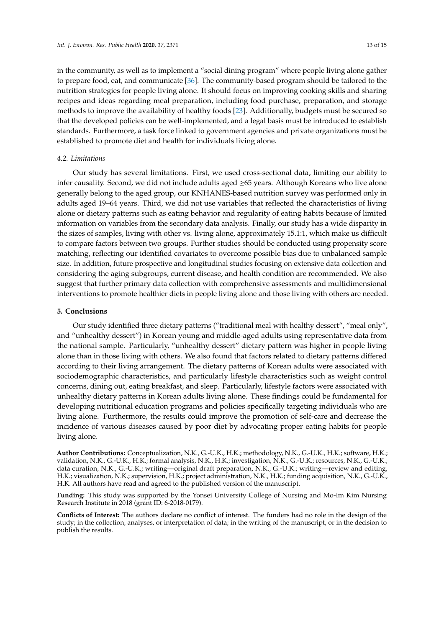in the community, as well as to implement a "social dining program" where people living alone gather to prepare food, eat, and communicate [\[36\]](#page-14-14). The community-based program should be tailored to the nutrition strategies for people living alone. It should focus on improving cooking skills and sharing recipes and ideas regarding meal preparation, including food purchase, preparation, and storage methods to improve the availability of healthy foods [\[23\]](#page-14-1). Additionally, budgets must be secured so that the developed policies can be well-implemented, and a legal basis must be introduced to establish standards. Furthermore, a task force linked to government agencies and private organizations must be established to promote diet and health for individuals living alone.

# *4.2. Limitations*

Our study has several limitations. First, we used cross-sectional data, limiting our ability to infer causality. Second, we did not include adults aged ≥65 years. Although Koreans who live alone generally belong to the aged group, our KNHANES-based nutrition survey was performed only in adults aged 19–64 years. Third, we did not use variables that reflected the characteristics of living alone or dietary patterns such as eating behavior and regularity of eating habits because of limited information on variables from the secondary data analysis. Finally, our study has a wide disparity in the sizes of samples, living with other vs. living alone, approximately 15.1:1, which make us difficult to compare factors between two groups. Further studies should be conducted using propensity score matching, reflecting our identified covariates to overcome possible bias due to unbalanced sample size. In addition, future prospective and longitudinal studies focusing on extensive data collection and considering the aging subgroups, current disease, and health condition are recommended. We also suggest that further primary data collection with comprehensive assessments and multidimensional interventions to promote healthier diets in people living alone and those living with others are needed.

# **5. Conclusions**

Our study identified three dietary patterns ("traditional meal with healthy dessert", "meal only", and "unhealthy dessert") in Korean young and middle-aged adults using representative data from the national sample. Particularly, "unhealthy dessert" dietary pattern was higher in people living alone than in those living with others. We also found that factors related to dietary patterns differed according to their living arrangement. The dietary patterns of Korean adults were associated with sociodemographic characteristics, and particularly lifestyle characteristics such as weight control concerns, dining out, eating breakfast, and sleep. Particularly, lifestyle factors were associated with unhealthy dietary patterns in Korean adults living alone. These findings could be fundamental for developing nutritional education programs and policies specifically targeting individuals who are living alone. Furthermore, the results could improve the promotion of self-care and decrease the incidence of various diseases caused by poor diet by advocating proper eating habits for people living alone.

**Author Contributions:** Conceptualization, N.K., G.-U.K., H.K.; methodology, N.K., G.-U.K., H.K.; software, H.K.; validation, N.K., G.-U.K., H.K.; formal analysis, N.K., H.K.; investigation, N.K., G.-U.K.; resources, N.K., G.-U.K.; data curation, N.K., G.-U.K.; writing—original draft preparation, N.K., G.-U.K.; writing—review and editing, H.K.; visualization, N.K.; supervision, H.K.; project administration, N.K., H.K.; funding acquisition, N.K., G.-U.K., H.K. All authors have read and agreed to the published version of the manuscript.

**Funding:** This study was supported by the Yonsei University College of Nursing and Mo-Im Kim Nursing Research Institute in 2018 (grant ID: 6-2018-0179).

**Conflicts of Interest:** The authors declare no conflict of interest. The funders had no role in the design of the study; in the collection, analyses, or interpretation of data; in the writing of the manuscript, or in the decision to publish the results.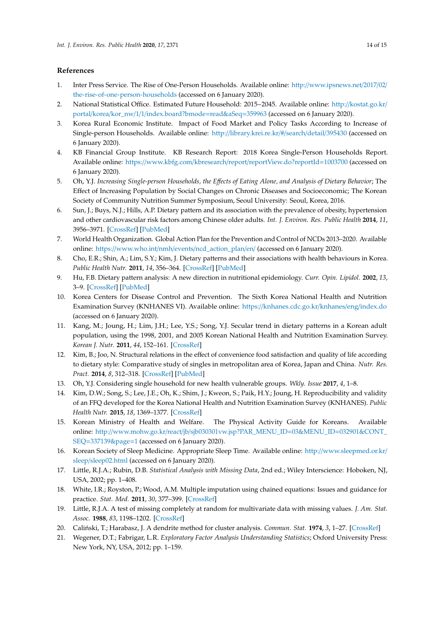# **References**

- <span id="page-13-0"></span>1. Inter Press Service. The Rise of One-Person Households. Available online: http://[www.ipsnews.net](http://www.ipsnews.net/2017/02/the-rise-of-one-person-households)/2017/02/ [the-rise-of-one-person-households](http://www.ipsnews.net/2017/02/the-rise-of-one-person-households) (accessed on 6 January 2020).
- <span id="page-13-1"></span>2. National Statistical Office. Estimated Future Household: 2015~2045. Available online: http://[kostat.go.kr](http://kostat.go.kr/portal/korea/kor_nw/1/1/index.board?bmode=read&aSeq=359963)/ portal/korea/kor\_nw/1/1/[index.board?bmode](http://kostat.go.kr/portal/korea/kor_nw/1/1/index.board?bmode=read&aSeq=359963)=read&aSeq=359963 (accessed on 6 January 2020).
- <span id="page-13-2"></span>3. Korea Rural Economic Institute. Impact of Food Market and Policy Tasks According to Increase of Single-person Households. Available online: http://[library.krei.re.kr](http://library.krei.re.kr/#/search/detail/395430)/#/search/detail/395430 (accessed on 6 January 2020).
- <span id="page-13-3"></span>4. KB Financial Group Institute. KB Research Report: 2018 Korea Single-Person Households Report. Available online: https://www.kbfg.com/kbresearch/report/[reportView.do?reportId](https://www.kbfg.com/kbresearch/report/reportView.do?reportId=1003700)=1003700 (accessed on 6 January 2020).
- <span id="page-13-4"></span>5. Oh, Y.J. *Increasing Single-person Households, the E*ff*ects of Eating Alone, and Analysis of Dietary Behavior*; The Effect of Increasing Population by Social Changes on Chronic Diseases and Socioeconomic; The Korean Society of Community Nutrition Summer Symposium, Seoul University: Seoul, Korea, 2016.
- <span id="page-13-5"></span>6. Sun, J.; Buys, N.J.; Hills, A.P. Dietary pattern and its association with the prevalence of obesity, hypertension and other cardiovascular risk factors among Chinese older adults. *Int. J. Environ. Res. Public Health* **2014**, *11*, 3956–3971. [\[CrossRef\]](http://dx.doi.org/10.3390/ijerph110403956) [\[PubMed\]](http://www.ncbi.nlm.nih.gov/pubmed/24727356)
- <span id="page-13-6"></span>7. World Health Organization. Global Action Plan for the Prevention and Control of NCDs 2013–2020. Available online: https://www.who.int/nmh/events/[ncd\\_action\\_plan](https://www.who.int/nmh/events/ncd_action_plan/en/)/en/ (accessed on 6 January 2020).
- <span id="page-13-7"></span>8. Cho, E.R.; Shin, A.; Lim, S.Y.; Kim, J. Dietary patterns and their associations with health behaviours in Korea. *Public Health Nutr.* **2011**, *14*, 356–364. [\[CrossRef\]](http://dx.doi.org/10.1017/S1368980010002685) [\[PubMed\]](http://www.ncbi.nlm.nih.gov/pubmed/20955642)
- <span id="page-13-8"></span>9. Hu, F.B. Dietary pattern analysis: A new direction in nutritional epidemiology. *Curr. Opin. Lipidol.* **2002**, *13*, 3–9. [\[CrossRef\]](http://dx.doi.org/10.1097/00041433-200202000-00002) [\[PubMed\]](http://www.ncbi.nlm.nih.gov/pubmed/11790957)
- <span id="page-13-9"></span>10. Korea Centers for Disease Control and Prevention. The Sixth Korea National Health and Nutrition Examination Survey (KNHANES VI). Available online: https://[knhanes.cdc.go.kr](https://knhanes.cdc.go.kr/knhanes/eng/index.do)/knhanes/eng/index.do (accessed on 6 January 2020).
- <span id="page-13-10"></span>11. Kang, M.; Joung, H.; Lim, J.H.; Lee, Y.S.; Song, Y.J. Secular trend in dietary patterns in a Korean adult population, using the 1998, 2001, and 2005 Korean National Health and Nutrition Examination Survey. *Korean J. Nutr.* **2011**, *44*, 152–161. [\[CrossRef\]](http://dx.doi.org/10.4163/kjn.2011.44.2.152)
- <span id="page-13-11"></span>12. Kim, B.; Joo, N. Structural relations in the effect of convenience food satisfaction and quality of life according to dietary style: Comparative study of singles in metropolitan area of Korea, Japan and China. *Nutr. Res. Pract.* **2014**, *8*, 312–318. [\[CrossRef\]](http://dx.doi.org/10.4162/nrp.2014.8.3.312) [\[PubMed\]](http://www.ncbi.nlm.nih.gov/pubmed/24944777)
- <span id="page-13-12"></span>13. Oh, Y.J. Considering single household for new health vulnerable groups. *Wkly. Issue* **2017**, *4*, 1–8.
- <span id="page-13-13"></span>14. Kim, D.W.; Song, S.; Lee, J.E.; Oh, K.; Shim, J.; Kweon, S.; Paik, H.Y.; Joung, H. Reproducibility and validity of an FFQ developed for the Korea National Health and Nutrition Examination Survey (KNHANES). *Public Health Nutr.* **2015**, *18*, 1369–1377. [\[CrossRef\]](http://dx.doi.org/10.1017/S1368980014001712)
- <span id="page-13-14"></span>15. Korean Ministry of Health and Welfare. The Physical Activity Guide for Koreans. Available online: http://www.mohw.go.kr/react/jb/[sjb030301vw.jsp?PAR\\_MENU\\_ID](http://www.mohw.go.kr/react/jb/sjb030301vw.jsp?PAR_MENU_ID=03&MENU_ID=032901&CONT_SEQ=337139&page=1)=03&MENU\_ID=032901&CONT\_ SEQ=[337139&page](http://www.mohw.go.kr/react/jb/sjb030301vw.jsp?PAR_MENU_ID=03&MENU_ID=032901&CONT_SEQ=337139&page=1)=1 (accessed on 6 January 2020).
- <span id="page-13-15"></span>16. Korean Society of Sleep Medicine. Appropriate Sleep Time. Available online: http://[www.sleepmed.or.kr](http://www.sleepmed.or.kr/sleep/sleep02.html)/ sleep/[sleep02.html](http://www.sleepmed.or.kr/sleep/sleep02.html) (accessed on 6 January 2020).
- <span id="page-13-16"></span>17. Little, R.J.A.; Rubin, D.B. *Statistical Analysis with Missing Data*, 2nd ed.; Wiley Interscience: Hoboken, NJ, USA, 2002; pp. 1–408.
- <span id="page-13-17"></span>18. White, I.R.; Royston, P.; Wood, A.M. Multiple imputation using chained equations: Issues and guidance for practice. *Stat. Med.* **2011**, *30*, 377–399. [\[CrossRef\]](http://dx.doi.org/10.1002/sim.4067)
- <span id="page-13-18"></span>19. Little, R.J.A. A test of missing completely at random for multivariate data with missing values. *J. Am. Stat. Assoc.* **1988**, *83*, 1198–1202. [\[CrossRef\]](http://dx.doi.org/10.1080/01621459.1988.10478722)
- <span id="page-13-19"></span>20. Caliński, T.; Harabasz, J. A dendrite method for cluster analysis. *Commun. Stat.* **1974**, 3, 1–27. [\[CrossRef\]](http://dx.doi.org/10.1080/03610927408827101)
- <span id="page-13-20"></span>21. Wegener, D.T.; Fabrigar, L.R. *Exploratory Factor Analysis Understanding Statistics*; Oxford University Press: New York, NY, USA, 2012; pp. 1–159.